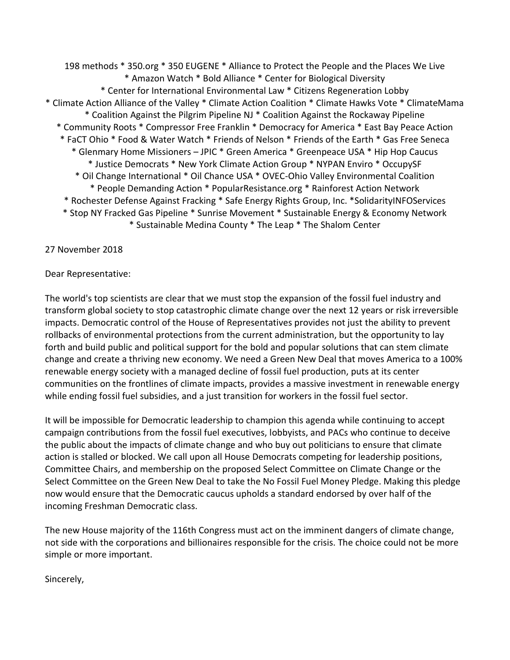198 methods \* 350.org \* 350 EUGENE \* Alliance to Protect the People and the Places We Live \* Amazon Watch \* Bold Alliance \* Center for Biological Diversity \* Center for International Environmental Law \* Citizens Regeneration Lobby \* Climate Action Alliance of the Valley \* Climate Action Coalition \* Climate Hawks Vote \* ClimateMama \* Coalition Against the Pilgrim Pipeline NJ \* Coalition Against the Rockaway Pipeline \* Community Roots \* Compressor Free Franklin \* Democracy for America \* East Bay Peace Action \* FaCT Ohio \* Food & Water Watch \* Friends of Nelson \* Friends of the Earth \* Gas Free Seneca \* Glenmary Home Missioners – JPIC \* Green America \* Greenpeace USA \* Hip Hop Caucus \* Justice Democrats \* New York Climate Action Group \* NYPAN Enviro \* OccupySF \* Oil Change International \* Oil Chance USA \* OVEC-Ohio Valley Environmental Coalition \* People Demanding Action \* PopularResistance.org \* Rainforest Action Network \* Rochester Defense Against Fracking \* Safe Energy Rights Group, Inc. \*SolidarityINFOServices \* Stop NY Fracked Gas Pipeline \* Sunrise Movement \* Sustainable Energy & Economy Network \* Sustainable Medina County \* The Leap \* The Shalom Center

27 November 2018

## Dear Representative:

The world's top scientists are clear that we must stop the expansion of the fossil fuel industry and transform global society to stop catastrophic climate change over the next 12 years or risk irreversible impacts. Democratic control of the House of Representatives provides not just the ability to prevent rollbacks of environmental protections from the current administration, but the opportunity to lay forth and build public and political support for the bold and popular solutions that can stem climate change and create a thriving new economy. We need a Green New Deal that moves America to a 100% renewable energy society with a managed decline of fossil fuel production, puts at its center communities on the frontlines of climate impacts, provides a massive investment in renewable energy while ending fossil fuel subsidies, and a just transition for workers in the fossil fuel sector.

It will be impossible for Democratic leadership to champion this agenda while continuing to accept campaign contributions from the fossil fuel executives, lobbyists, and PACs who continue to deceive the public about the impacts of climate change and who buy out politicians to ensure that climate action is stalled or blocked. We call upon all House Democrats competing for leadership positions, Committee Chairs, and membership on the proposed Select Committee on Climate Change or the Select Committee on the Green New Deal to take the No Fossil Fuel Money Pledge. Making this pledge now would ensure that the Democratic caucus upholds a standard endorsed by over half of the incoming Freshman Democratic class.

The new House majority of the 116th Congress must act on the imminent dangers of climate change, not side with the corporations and billionaires responsible for the crisis. The choice could not be more simple or more important.

Sincerely,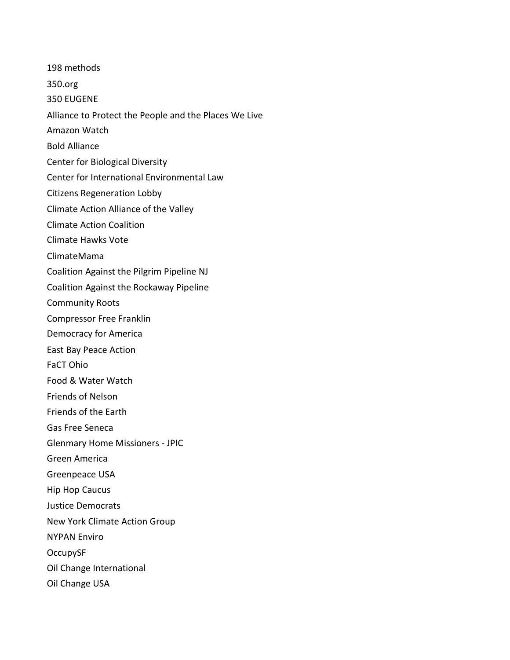198 methods

350.org

350 EUGENE

Alliance to Protect the People and the Places We Live

Amazon Watch

Bold Alliance

Center for Biological Diversity

Center for International Environmental Law

Citizens Regeneration Lobby

Climate Action Alliance of the Valley

Climate Action Coalition

Climate Hawks Vote

ClimateMama

Coalition Against the Pilgrim Pipeline NJ

Coalition Against the Rockaway Pipeline

Community Roots

Compressor Free Franklin

Democracy for America

East Bay Peace Action

FaCT Ohio

Food & Water Watch

Friends of Nelson

Friends of the Earth

Gas Free Seneca

Glenmary Home Missioners - JPIC

Green America

Greenpeace USA

Hip Hop Caucus

Justice Democrats

New York Climate Action Group

NYPAN Enviro

OccupySF

Oil Change International

Oil Change USA